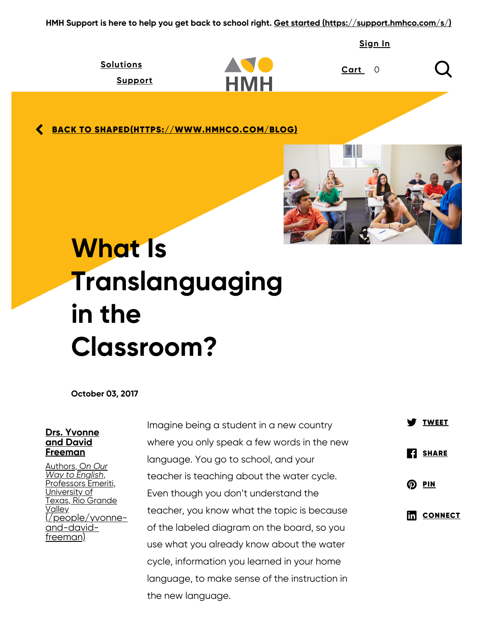HMH Support is here to help you get back to school right. [Get started \(https://support.hmhco.com/s/\)](https://support.hmhco.com/s/)

[Sign](https://www.hmhco.com/account/sign-in?inCheckout=false) In

| <b>Solutions</b> |            | Cart |
|------------------|------------|------|
| <u>Support</u>   | <b>HMH</b> |      |

**<u>SACK TO [SHAPED\(HTTPS://WWW.HMHCO.COM/BLOG\)](https://www.hmhco.com/blog)</u>** 



# What Is Translanguaging in the Classroom?

October 03, 2017

#### Drs. Yvonne and David Freeman

Authors, On Our Way to English, <u>Professors Emeriti,</u> <u>Jniversity of</u> Texas, Rio Grande Valley <u>(people/yvonne-</u> and-davidfreeman)

Imagine being a student in a new country where you only speak a few words in the new language. You go to school, and your teacher is teaching about the water cycle. Even though you don't understand the teacher, you know what the topic is because of the labeled diagram on the board, so you use what you already know about the water cycle, information you learned in your home language, to make sense of the instruction in the new language.

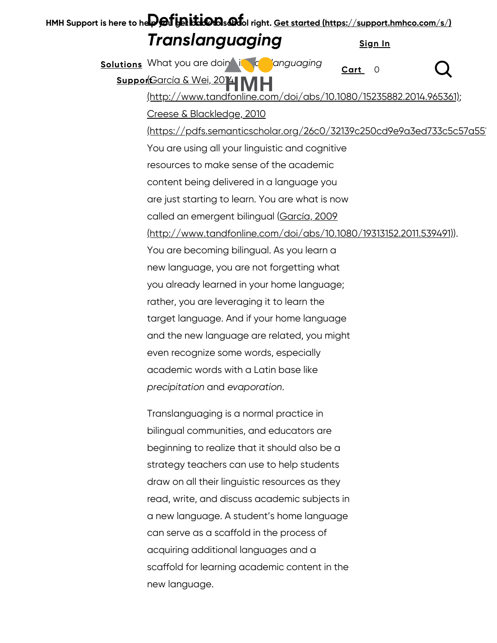| HMH Support is here to he <b>pper you in the OD</b> s @10 right. Get started (https://support.hmhco.com/s/) |  |
|-------------------------------------------------------------------------------------------------------------|--|
| <b>Translanguaging</b><br>Sign In                                                                           |  |
| <b>Solutions</b> What you are doin is a languaging<br>Cart<br>O                                             |  |
| SupportGarcía & Wei, 2014 MH                                                                                |  |
| http://www.tandfonline.com/doi/abs/10.1080/15235882.2014.965361);                                           |  |
| Creese & Blackledge, 2010                                                                                   |  |
| https://pdfs.semanticscholar.org/26c0/32139c250cd9e9a3ed733c5c57a55                                         |  |
| You are using all your linguistic and cognitive                                                             |  |
| resources to make sense of the academic                                                                     |  |
| content being delivered in a language you                                                                   |  |
| are just starting to learn. You are what is now                                                             |  |
| called an emergent bilingual (García, 2009                                                                  |  |
| <u> (http://www.tandfonline.com/doi/abs/10.1080/19313152.2011.539491)).</u>                                 |  |
| You are becoming bilingual. As you learn a                                                                  |  |
| new language, you are not forgetting what                                                                   |  |
| you already learned in your home language;                                                                  |  |
| rather, you are leveraging it to learn the                                                                  |  |
| target language. And if your home language                                                                  |  |
| and the new language are related, you might                                                                 |  |
| even recognize some words, especially                                                                       |  |
| academic words with a Latin base like                                                                       |  |
| precipitation and evaporation.                                                                              |  |
| Translanguaging is a normal practice in                                                                     |  |
| bilingual communities, and educators are                                                                    |  |
| ataataa ta xaali-a thad titabaa dadka laa la                                                                |  |

beginning to realize that it should also be a strategy teachers can use to help students draw on all their linguistic resources as they read, write, and discuss academic subjects in a new language. A student's home language can serve as a scaffold in the process of acquiring additional languages and a scaffold for learning academic content in the new language.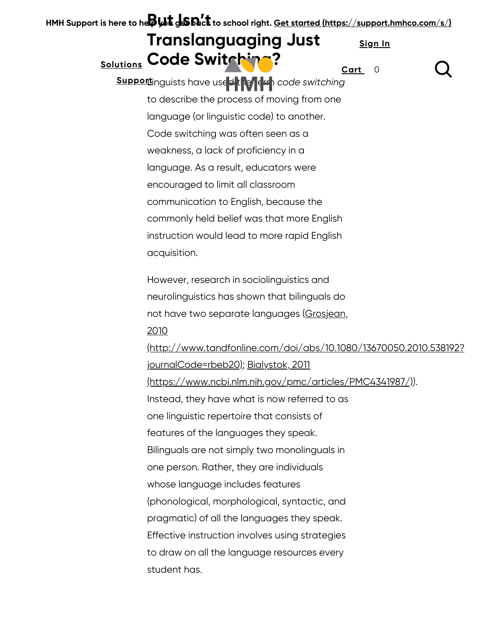HMH Support is here to he $\beta$ Ut  $\pm$  SN.ct to school right. <u>[Get started \(https://support.hmhco.com/s/\)](https://support.hmhco.com/s/)</u> Translanguaging Just Solutions [Code Sw](https://www.hmhco.com/classroom-solutions)i[tching?](https://www.hmhco.com/) Supportinguists have used the left code switching to describe the process of moving from one language (or linguistic code) to another. Code switching was often seen as a weakness, a lack of proficiency in a language. As a result, educators were encouraged to limit all classroom communication to English, because the commonly held belief was that more English instruction would lead to more rapid English acquisition. However, research in sociolinguistics and neurolinguistics has shown that bilinguals do not have two separate languages (Grosjean, 2010 [\(http://www.tandfonline.com/doi/abs/10.1080/13670050.2010.538192?](http://www.tandfonline.com/doi/abs/10.1080/13670050.2010.538192?journalCode=rbeb20) journalCode=rbeb20); Bialystok, 2011 [\(https://www.ncbi.nlm.nih.gov/pmc/articles/PMC4341987/\)\)](https://www.ncbi.nlm.nih.gov/pmc/articles/PMC4341987/). Instead, they have what is now referred to as one linguistic repertoire that consists of features of the languages they speak. Bilinguals are not simply two monolinguals in one person. Rather, they are individuals whose language includes features (phonological, morphological, syntactic, and pragmatic) of all the languages they speak. Effective instruction involves using strategies to draw on all the language resources every student has. [Sign](https://www.hmhco.com/account/sign-in?inCheckout=false) In [Cart](https://www.hmhco.com/hmhstorefront/cart) 0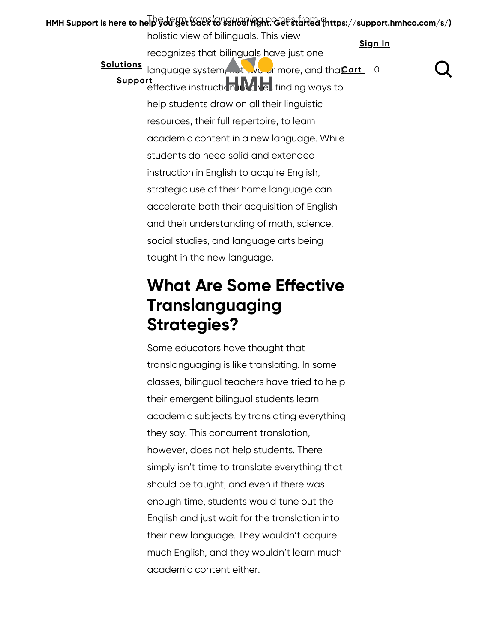### HMH Support is here to help you get back to sehool right. <u>[Get started \(https://support.hmhco.com/s/\)](https://support.hmhco.com/s/)</u> holistic view of bilinguals. This view recognizes that bilinguals have just one Solutions [language syst](https://www.hmhco.com/classroom-solutions)e[m, not two or](https://www.hmhco.com/) more, and tha Cart 0 Support<br> [effective instruc](https://www.hmhco.com/support)tion in the finding ways to help students draw on all their linguistic resources, their full repertoire, to learn academic content in a new language. While students do need solid and extended instruction in English to acquire English, strategic use of their home language can accelerate both their acquisition of English and their understanding of math, science, social studies, and language arts being taught in the new language. [Sign](https://www.hmhco.com/account/sign-in?inCheckout=false) In

## What Are Some Effective Translanguaging Strategies?

Some educators have thought that translanguaging is like translating. In some classes, bilingual teachers have tried to help their emergent bilingual students learn academic subjects by translating everything they say. This concurrent translation, however, does not help students. There simply isn't time to translate everything that should be taught, and even if there was enough time, students would tune out the English and just wait for the translation into their new language. They wouldn't acquire much English, and they wouldn't learn much academic content either.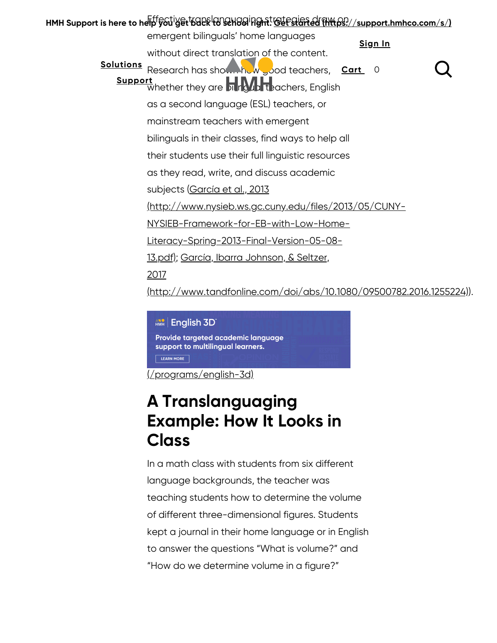|                                                      | HMH Support is here to help you get back to serious right. Get started (https://support.hmhco.com/s/) |  |  |
|------------------------------------------------------|-------------------------------------------------------------------------------------------------------|--|--|
|                                                      | emergent bilinguals' home languages<br>Sign In                                                        |  |  |
|                                                      | without direct translation of the content.                                                            |  |  |
| <b>Solutions</b>                                     | Research has shown how good teachers, Cart 0                                                          |  |  |
|                                                      | <b>Support</b> whether they are <b>on Ry the Support</b>                                              |  |  |
|                                                      | as a second language (ESL) teachers, or                                                               |  |  |
|                                                      | mainstream teachers with emergent                                                                     |  |  |
|                                                      | bilinguals in their classes, find ways to help all                                                    |  |  |
|                                                      | their students use their full linguistic resources                                                    |  |  |
|                                                      | as they read, write, and discuss academic                                                             |  |  |
|                                                      | subjects ( <u>García et al., 2013</u>                                                                 |  |  |
| http://www.nysieb.ws.gc.cuny.edu/files/2013/05/CUNY- |                                                                                                       |  |  |
|                                                      | NYSIEB-Framework-for-EB-with-Low-Home-                                                                |  |  |
|                                                      | Literacy-Spring-2013-Final-Version-05-08-                                                             |  |  |
|                                                      | <u> 13.pdf); García, Ibarra Johnson, &amp; Seltzer,</u>                                               |  |  |
|                                                      | 2017                                                                                                  |  |  |
|                                                      | <u>(http://www.tandfonline.com/doi/abs/10.1080/09500782.2016.1255224))</u> .                          |  |  |

#### **AND** English 3D Provide targeted academic language support to multilingual learners. LEARN MORE

[\(/programs/english-3d\)](https://www.hmhco.com/programs/english-3d)

## A Translanguaging Example: How It Looks in **Class**

In a math class with students from six different language backgrounds, the teacher was teaching students how to determine the volume of different three-dimensional figures. Students kept a journal in their home language or in English to answer the questions "What is volume?" and "How do we determine volume in a figure?"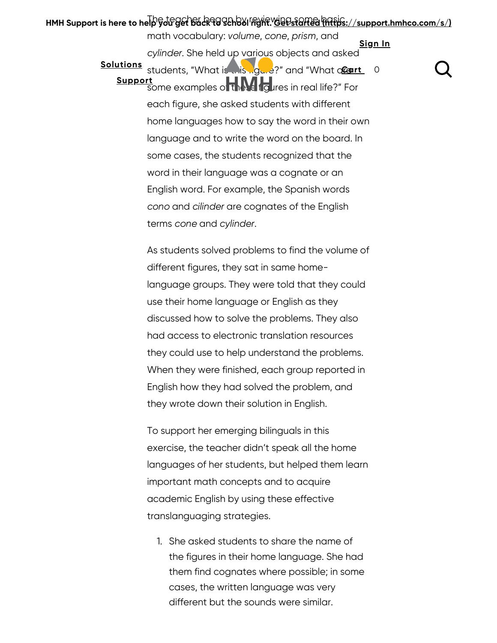#### HMH Support is here to help you get back to School France <u>vapes arred (https://support.hmhco.com/s/)</u> math vocabulary: volume, cone, prism, and Sign In

cylinder. She held up various object[s and asked](https://www.hmhco.com/account/sign-in?inCheckout=false) Solutions [students, "Wh](https://www.hmhco.com/classroom-solutions)at i[s this figure](https://www.hmhco.com/)?" and "What allert 0 Support [some examples](https://www.hmhco.com/support) of the Marigures in real life?" For each figure, she asked students with different home languages how to say the word in their own language and to write the word on the board. In some cases, the students recognized that the word in their language was a cognate or an English word. For example, the Spanish words cono and cilinder are cognates of the English terms cone and cylinder.

> As students solved problems to find the volume of different figures, they sat in same homelanguage groups. They were told that they could use their home language or English as they discussed how to solve the problems. They also had access to electronic translation resources they could use to help understand the problems. When they were finished, each group reported in English how they had solved the problem, and they wrote down their solution in English.

> To support her emerging bilinguals in this exercise, the teacher didn't speak all the home languages of her students, but helped them learn important math concepts and to acquire academic English by using these effective translanguaging strategies.

She asked students to share the name of 1. the figures in their home language. She had them find cognates where possible; in some cases, the written language was very different but the sounds were similar.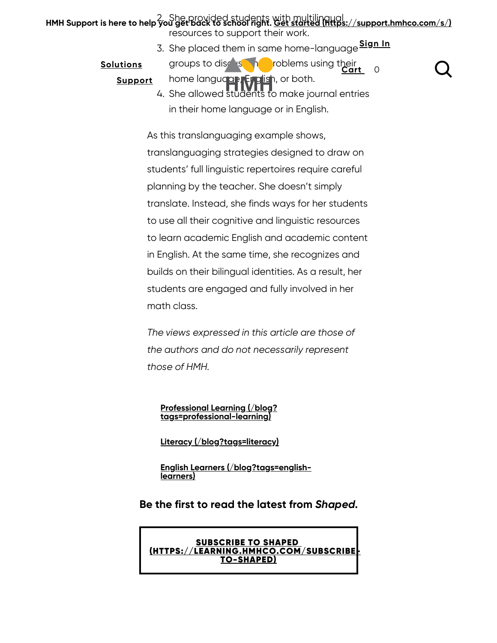#### HMH Support is here to help you get back to school right. [Get started \(https://support.hmhco.com/s/\)](https://support.hmhco.com/s/) resources to support their work.

3. She placed them in same hom[e-language](https://www.hmhco.com/account/sign-in?inCheckout=false) <mark>Sign In</mark>

Cart 0

#### **[Solutions](https://www.hmhco.com/classroom-solutions)**

**Support** 

[home lang](https://www.hmhco.com/support)uage, English, or both.

groups to discuss in problems [using their](https://www.hmhco.com/hmhstorefront/cart)

4. She allowed stūdēnts to make journal entries in their home language or in English.

As this translanguaging example shows, translanguaging strategies designed to draw on students' full linguistic repertoires require careful planning by the teacher. She doesn't simply translate. Instead, she finds ways for her students to use all their cognitive and linguistic resources to learn academic English and academic content in English. At the same time, she recognizes and builds on their bilingual identities. As a result, her students are engaged and fully involved in her math class.

The views expressed in this article are those of the authors and do not necessarily represent those of HMH.

[Professional Learning \(/blog?](https://www.hmhco.com/blog?tags=professional-learning) tags=professional-learning)

[Literacy \(/blog?tags=literacy\)](https://www.hmhco.com/blog?tags=literacy)

[English Learners \(/blog?tags=english](https://www.hmhco.com/blog?tags=english-learners)learners)

Be the first to read the latest from Shaped.

SUBSCRIBE TO SHAPED [\(HTTPS://LEARNING.HMHCO.COM/SUBSCRIBE-](https://learning.hmhco.com/subscribe-to-shaped)TO-SHAPED)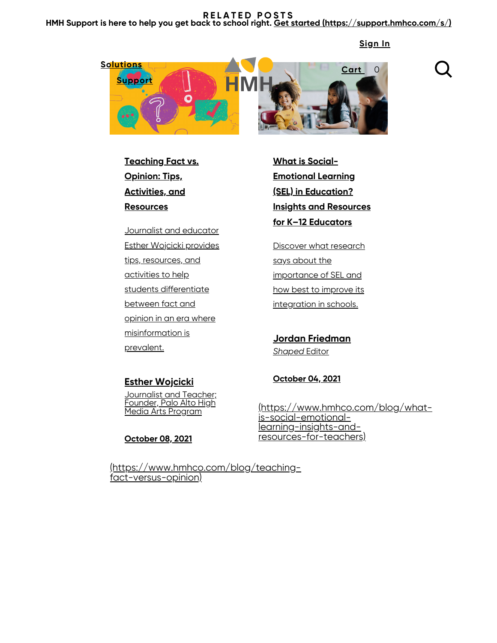#### RELATED POSTS HMH Support is here to help you get back to school right. [Get started \(https://support.hmhco.com/s/\)](https://support.hmhco.com/s/)

[Sign](https://www.hmhco.com/account/sign-in?inCheckout=false) In



Teaching Fact vs. Opinion: Tips, Activities, and **Resources** 

Journalist and educator Esther Wojcicki provides tips, resources, and activities to help students differentiate between fact and opinion in an era where misinformation is prevalent.

What is Social-Emotional Learning (SEL) in Education? Insights and Resources for K–12 Educators

Discover what research says about the importance of SEL and how best to improve its integration in schools.

Jordan Friedman **Shaped Editor** 

#### **Esther Wojcicki Journalist and Teacher;**

Founder, Palo Alto High Media Arts Program

October 08, 2021

October 04, 2021

[\(https://www.hmhco.com/blog/what](https://www.hmhco.com/blog/what-is-social-emotional-learning-insights-and-resources-for-teachers)is-social-emotionallearning-insights-andresources-for-teachers)

[\(https://www.hmhco.com/blog/teaching](https://www.hmhco.com/blog/teaching-fact-versus-opinion)fact-versus-opinion)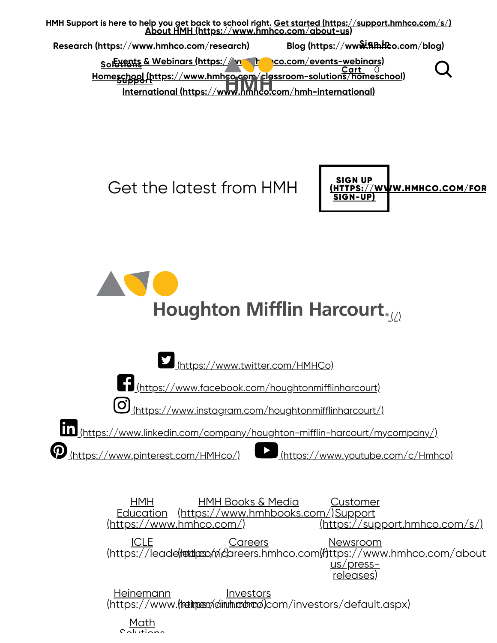

Get the latest from HMH



Houghton Mifflin Harcourt.



HMH Education [\(https://www.hmhbooks.com/\)](https://www.hmhbooks.com/) Support [\(https://www.hmhco.com/\)](https://www.hmhco.com/) HMH Books & Media **Customer** [\(https://support.hmhco.com/s/\)](https://support.hmhco.com/s/) ICLE <u>(https://leade(detdposo/n/c/areers.hmhco.com[\(https://www.hmhco.com/about](https://www.hmhco.com/about-us/press-releases)</u> **Careers** <u>Newsroom</u> us/pressreleases) Heinemann <u>(https://www.**(heirpen/din.hr.obrod)**com/investors/default.aspx)</u> **Investors** 

<u>[Math](https://mathsolutions.com/)</u> solutions and